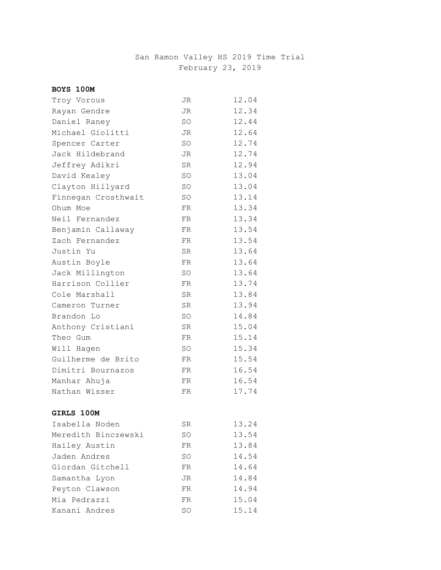# San Ramon Valley HS 2019 Time Trial February 23, 2019

| BOYS 100M           |           |       |
|---------------------|-----------|-------|
| Troy Vorous         | JR        | 12.04 |
| Rayan Gendre        | JR        | 12.34 |
| Daniel Raney        | SO        | 12.44 |
| Michael Giolitti    | JR        | 12.64 |
| Spencer Carter      | SO        | 12.74 |
| Jack Hildebrand     | JR        | 12.74 |
| Jeffrey Adikri      | <b>SR</b> | 12.94 |
| David Kealey        | SO        | 13.04 |
| Clayton Hillyard    | SO        | 13.04 |
| Finnegan Crosthwait | <b>SO</b> | 13.14 |
| Ohum Moe            | FR.       | 13.34 |
| Neil Fernandez      | FR.       | 13.34 |
| Benjamin Callaway   | FR.       | 13.54 |
| Zach Fernandez      | <b>FR</b> | 13.54 |
| Justin Yu           | SR.       | 13.64 |
| Austin Boyle        | FR        | 13.64 |
| Jack Millington     | SO        | 13.64 |
| Harrison Collier    | <b>FR</b> | 13.74 |
| Cole Marshall       | SR.       | 13.84 |
| Cameron Turner      | <b>SR</b> | 13.94 |
| Brandon Lo          | SO        | 14.84 |
| Anthony Cristiani   | SR        | 15.04 |
| Theo Gum            | FR        | 15.14 |
| Will Hagen          | <b>SO</b> | 15.34 |
| Guilherme de Brito  | FR.       | 15.54 |
| Dimitri Bournazos   | FR        | 16.54 |
| Manhar Ahuja        | FR.       | 16.54 |
| Nathan Wisser       | FR        | 17.74 |
|                     |           |       |
| <b>GIRLS 100M</b>   |           |       |
| Isabella Noden      | SR        | 13.24 |
| Meredith Binczewski | SO.       | 13.54 |
| Hailey Austin       | FR        | 13.84 |
| Jaden Andres        | <b>SO</b> | 14.54 |
| Giordan Gitchell    | FR        | 14.64 |
| Samantha Lyon       | JR        | 14.84 |
| Peyton Clawson      | FR        | 14.94 |
| Mia Pedrazzi        | FR        | 15.04 |
| Kanani Andres       | SO        | 15.14 |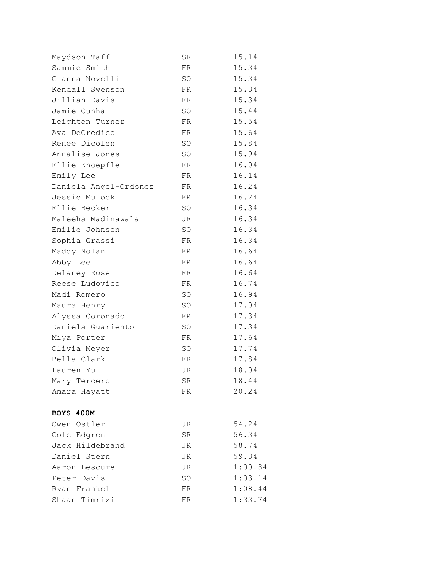| Maydson Taff          | $_{\rm SR}$ | 15.14   |
|-----------------------|-------------|---------|
| Sammie Smith          | FR          | 15.34   |
| Gianna Novelli        | <b>SO</b>   | 15.34   |
| Kendall Swenson       | FR          | 15.34   |
| Jillian Davis         | FR          | 15.34   |
| Jamie Cunha           | <b>SO</b>   | 15.44   |
| Leighton Turner       | FR          | 15.54   |
| Ava DeCredico         | FR          | 15.64   |
| Renee Dicolen         | SO          | 15.84   |
| Annalise Jones        | SO          | 15.94   |
| Ellie Knoepfle        | FR          | 16.04   |
| Emily Lee             | FR          | 16.14   |
| Daniela Angel-Ordonez | FR          | 16.24   |
| Jessie Mulock         | FR          | 16.24   |
| Ellie Becker          | SO          | 16.34   |
| Maleeha Madinawala    | JR          | 16.34   |
| Emilie Johnson        | SO          | 16.34   |
| Sophia Grassi         | FR          | 16.34   |
| Maddy Nolan           | FR          | 16.64   |
| Abby Lee              | FR          | 16.64   |
| Delaney Rose          | FR          | 16.64   |
| Reese Ludovico        | FR          | 16.74   |
| Madi Romero           | SO          | 16.94   |
| Maura Henry           | SO          | 17.04   |
| Alyssa Coronado       | FR          | 17.34   |
| Daniela Guariento     | SO          | 17.34   |
| Miya Porter           | FR          | 17.64   |
| Olivia Meyer          | SO          | 17.74   |
| Bella Clark           | FR          | 17.84   |
| Lauren Yu             | JR          | 18.04   |
| Mary Tercero          | SR          | 18.44   |
| Amara Hayatt          | FR          | 20.24   |
|                       |             |         |
| BOYS 400M             |             |         |
| Owen Ostler           | JR          | 54.24   |
| Cole Edgren           | ${\rm SR}$  | 56.34   |
| Jack Hildebrand       | JR          | 58.74   |
| Daniel Stern          | JR          | 59.34   |
| Aaron Lescure         | JR          | 1:00.84 |
| Peter Davis           | SO          | 1:03.14 |
| Ryan Frankel          | FR          | 1:08.44 |
| Shaan Timrizi         | FR          | 1:33.74 |
|                       |             |         |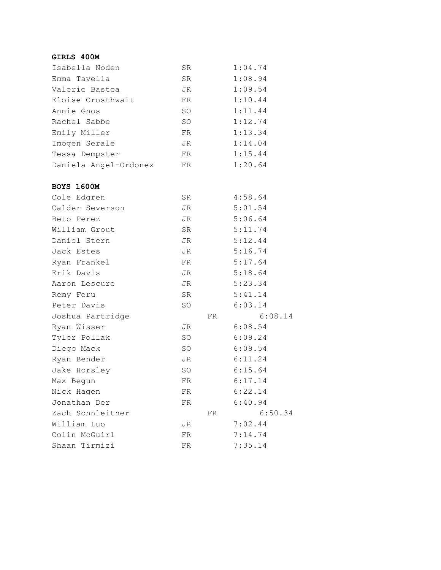## **GIRLS 400M**

| Isabella Noden        | SR.       | 1:04.74 |
|-----------------------|-----------|---------|
| Emma Tavella          | <b>SR</b> | 1:08.94 |
| Valerie Bastea        | JR.       | 1:09.54 |
| Eloise Crosthwait     | FR        | 1:10.44 |
| Annie Gnos            | SO.       | 1:11.44 |
| Rachel Sabbe          | SO.       | 1:12.74 |
| Emily Miller          | FR        | 1:13.34 |
| Imogen Serale         | JR.       | 1:14.04 |
| Tessa Dempster        | FR        | 1:15.44 |
| Daniela Angel-Ordonez | FR        | 1:20.64 |

### **BOYS 1600M**

| Cole Edgren      | SR  |    | 4:58.64 |
|------------------|-----|----|---------|
| Calder Severson  | JR  |    | 5:01.54 |
| Beto Perez       | JR  |    | 5:06.64 |
| William Grout    | SR  |    | 5:11.74 |
| Daniel Stern     | JR  |    | 5:12.44 |
| Jack Estes       | JR  |    | 5:16.74 |
| Ryan Frankel     | FR  |    | 5:17.64 |
| Erik Davis       | JR  |    | 5:18.64 |
| Aaron Lescure    | JR  |    | 5:23.34 |
| Remy Feru        | SR  |    | 5:41.14 |
| Peter Davis      | SO  |    | 6:03.14 |
| Joshua Partridge |     | FR | 6:08.14 |
| Ryan Wisser      | JR  |    | 6:08.54 |
| Tyler Pollak     | SO  |    | 6:09.24 |
| Diego Mack       | SO  |    | 6:09.54 |
| Ryan Bender      | JR  |    | 6:11.24 |
| Jake Horsley     | SO  |    | 6:15.64 |
| Max Begun        | FR  |    | 6:17.14 |
| Nick Hagen       | FR  |    | 6:22.14 |
| Jonathan Der     | FR. |    | 6:40.94 |
| Zach Sonnleitner |     | FR | 6:50.34 |
| William Luo      | JR  |    | 7:02.44 |
| Colin McGuirl    | FR  |    | 7:14.74 |
|                  |     |    |         |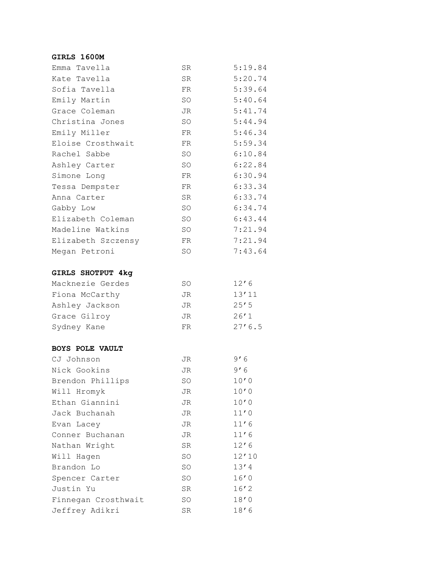### **GIRLS 1600M**

| Emma Tavella             | SR        | 5:19.84 |
|--------------------------|-----------|---------|
| Kate Tavella             | SR        | 5:20.74 |
| Sofia Tavella            | FR.       | 5:39.64 |
| Emily Martin             | SO        | 5:40.64 |
| Grace Coleman            | JR        | 5:41.74 |
| Christina Jones          | SO        | 5:44.94 |
| Emily Miller             | FR.       | 5:46.34 |
| Eloise Crosthwait        | FR.       | 5:59.34 |
| Rachel Sabbe             | SO        | 6:10.84 |
| Ashley Carter            | SO        | 6:22.84 |
| Simone Long              | FR.       | 6:30.94 |
| Tessa Dempster           | FR.       | 6:33.34 |
| Anna Carter              | SR        | 6:33.74 |
| Gabby Low                | SO        | 6:34.74 |
| Elizabeth Coleman        | SO        | 6:43.44 |
| Madeline Watkins         | SO        | 7:21.94 |
| Elizabeth Szczensy       | FR.       | 7:21.94 |
| Megan Petroni            | SO        | 7:43.64 |
|                          |           |         |
| <b>GIRLS SHOTPUT 4kg</b> |           |         |
| Macknezie Gerdes         | <b>SO</b> | 12'6    |
| Fiona McCarthy           | JR        | 13'11   |
| Ashley Jackson           | JR        | 25'5    |
| Grace Gilroy             | JR        | 26'1    |
| Sydney Kane              | FR        | 27'6.5  |
|                          |           |         |
| <b>BOYS POLE VAULT</b>   |           |         |
| CJ Johnson               | JR        | 9'6     |
| Nick Gookins             | JR        | 9'6     |
| Brendon Phillips         | SO        | 10'0    |
| Will Hromyk              | JR        | 10'0    |
| Ethan Giannini           | JR        | $10'0$  |
| Jack Buchanah            | JR        | 11'0    |
| Evan Lacey               | JR        | 11'6    |
| Conner Buchanan          | JR        | 11'6    |
| Nathan Wright            | <b>SR</b> | 12'6    |
| Will Hagen               | SO        | 12'10   |
| Brandon Lo               | SO        | 13'4    |
| Spencer Carter           | SO        | 16'0    |
| Justin Yu                | SR        | 16'2    |
| Finnegan Crosthwait      | SO        | 18'0    |
| Jeffrey Adikri           | SR        | 18'6    |